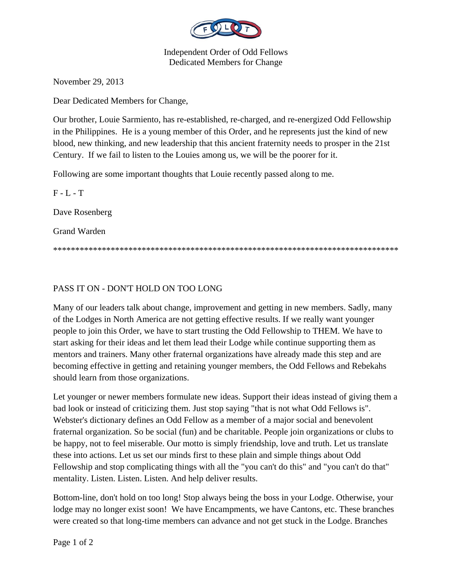

Independent Order of Odd Fellows Dedicated Members for Change

November 29, 2013

Dear Dedicated Members for Change,

Our brother, Louie Sarmiento, has re-established, re-charged, and re-energized Odd Fellowship in the Philippines. He is a young member of this Order, and he represents just the kind of new blood, new thinking, and new leadership that this ancient fraternity needs to prosper in the 21st Century. If we fail to listen to the Louies among us, we will be the poorer for it.

Following are some important thoughts that Louie recently passed along to me.

 $F - L - T$ Dave Rosenberg Grand Warden \*\*\*\*\*\*\*\*\*\*\*\*\*\*\*\*\*\*\*\*\*\*\*\*\*\*\*\*\*\*\*\*\*\*\*\*\*\*\*\*\*\*\*\*\*\*\*\*\*\*\*\*\*\*\*\*\*\*\*\*\*\*\*\*\*\*\*\*\*\*\*\*\*\*\*\*\*\*

## PASS IT ON - DON'T HOLD ON TOO LONG

Many of our leaders talk about change, improvement and getting in new members. Sadly, many of the Lodges in North America are not getting effective results. If we really want younger people to join this Order, we have to start trusting the Odd Fellowship to THEM. We have to start asking for their ideas and let them lead their Lodge while continue supporting them as mentors and trainers. Many other fraternal organizations have already made this step and are becoming effective in getting and retaining younger members, the Odd Fellows and Rebekahs should learn from those organizations.

Let younger or newer members formulate new ideas. Support their ideas instead of giving them a bad look or instead of criticizing them. Just stop saying "that is not what Odd Fellows is". Webster's dictionary defines an Odd Fellow as a member of a major social and benevolent fraternal organization. So be social (fun) and be charitable. People join organizations or clubs to be happy, not to feel miserable. Our motto is simply friendship, love and truth. Let us translate these into actions. Let us set our minds first to these plain and simple things about Odd Fellowship and stop complicating things with all the "you can't do this" and "you can't do that" mentality. Listen. Listen. Listen. And help deliver results.

Bottom-line, don't hold on too long! Stop always being the boss in your Lodge. Otherwise, your lodge may no longer exist soon! We have Encampments, we have Cantons, etc. These branches were created so that long-time members can advance and not get stuck in the Lodge. Branches